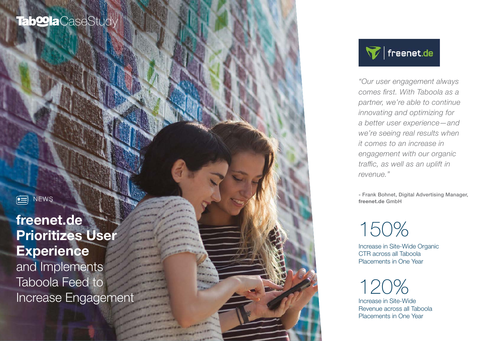# Tab**<sup>o</sup>la** CaseStudy

 $\boxed{=}$ **NEWS** 

freenet.de Prioritizes User **Experience** and Implements Taboola Feed to Increase Engagemen



*"Our user engagement always comes first. With Taboola as a partner, we're able to continue innovating and optimizing for a better user experience—and we're seeing real results when it comes to an increase in engagement with our organic traffic, as well as an uplift in revenue."* 

- Frank Bohnet, Digital Advertising Manager, freenet.de GmbH

# 150%

Increase in Site-Wide Organic CTR across all Taboola Placements in One Year

120%

Increase in Site-Wide Revenue across all Taboola Placements in One Year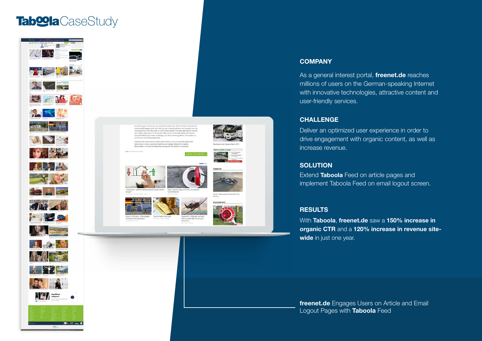## CaseStudy CaseStudy





#### **COMPANY**

As a general interest portal, **freenet.de** reaches millions of users on the German-speaking Internet with innovative technologies, attractive content and user-friendly services.

#### **CHALLENGE**

Deliver an optimized user experience in order to drive engagement with organic content, as well as increase revenue.

#### **SOLUTION**

Extend Taboola Feed on article pages and implement Taboola Feed on email logout screen.

#### **RESULTS**

With Taboola, freenet.de saw a 150% increase in organic CTR and a 120% increase in revenue sitewide in just one year.

freenet.de Engages Users on Article and Email Logout Pages with Taboola Feed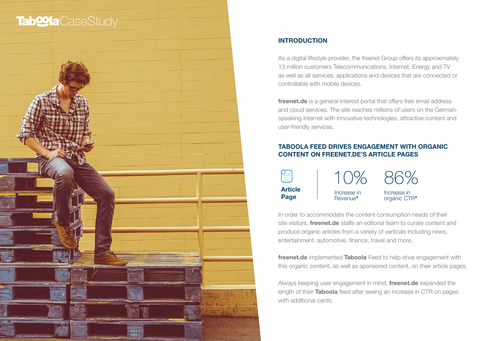### **Tab@la**CaseStudy



#### INTRODUCTION

As a digital lifestyle provider, the freenet Group offers its approximately 13 million customers Telecommunications, Internet, Energy and TV as well as all services, applications and devices that are connected or controllable with mobile devices.

freenet.de is a general interest portal that offers free email address and cloud services. The site reaches millions of users on the Germanspeaking Internet with innovative technologies, attractive content and user-friendly services.

#### TABOOLA FEED DRIVES ENGAGEMENT WITH ORGANIC CONTENT ON FREENET.DE'S ARTICLE PAGES

| <b>Article</b> | Increase in | Increase in  |
|----------------|-------------|--------------|
| Page           | Revenue*    | organic CTR* |

In order to accommodate the content consumption needs of their site visitors, **freenet.de** staffs an editorial team to curate content and produce organic articles from a variety of verticals including news, entertainment, automotive, finance, travel and more.

freenet.de implemented Taboola Feed to help drive engagement with this organic content, as well as sponsored content, on their article pages.

Always keeping user engagement in mind, freenet.de expanded the length of their **Taboola** feed after seeing an increase in CTR on pages with additional cards.